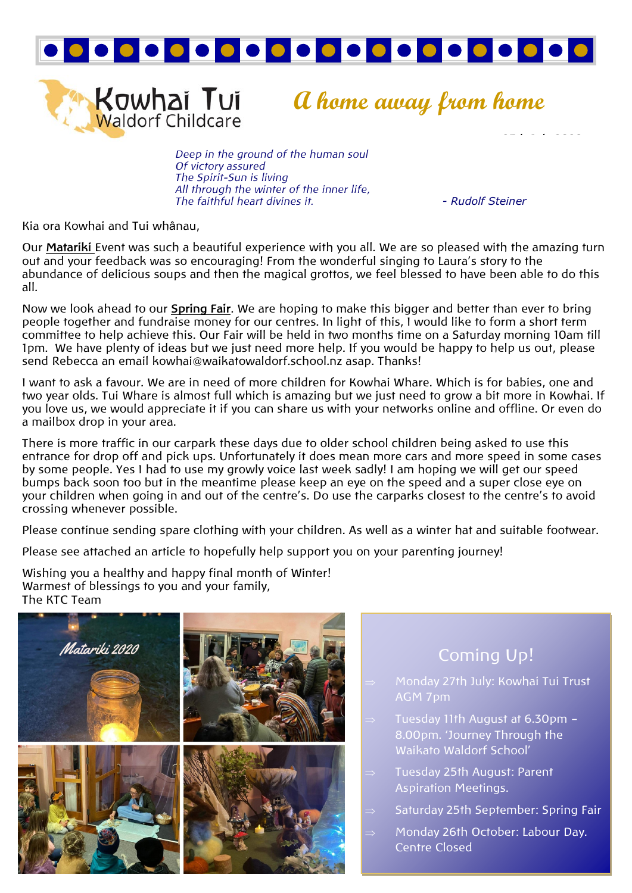

**Kowhai Tui**<br>Waldorf Childcare

**A home away from home**

*Deep in the ground of the human soul Of victory assured The Spirit-Sun is living All through the winter of the inner life, The faithful heart divines it. - Rudolf Steiner*

Kia ora Kowhai and Tui whânau,

Our **Matariki** Event was such a beautiful experience with you all. We are so pleased with the amazing turn out and your feedback was so encouraging! From the wonderful singing to Laura's story to the abundance of delicious soups and then the magical grottos, we feel blessed to have been able to do this all.

Now we look ahead to our **Spring Fair**. We are hoping to make this bigger and better than ever to bring people together and fundraise money for our centres. In light of this, I would like to form a short term committee to help achieve this. Our Fair will be held in two months time on a Saturday morning 10am till 1pm. We have plenty of ideas but we just need more help. If you would be happy to help us out, please send Rebecca an email kowhai@waikatowaldorf.school.nz asap. Thanks!

I want to ask a favour. We are in need of more children for Kowhai Whare. Which is for babies, one and two year olds. Tui Whare is almost full which is amazing but we just need to grow a bit more in Kowhai. If you love us, we would appreciate it if you can share us with your networks online and offline. Or even do a mailbox drop in your area.

There is more traffic in our carpark these days due to older school children being asked to use this entrance for drop off and pick ups. Unfortunately it does mean more cars and more speed in some cases by some people. Yes I had to use my growly voice last week sadly! I am hoping we will get our speed bumps back soon too but in the meantime please keep an eye on the speed and a super close eye on your children when going in and out of the centre's. Do use the carparks closest to the centre's to avoid crossing whenever possible.

Please continue sending spare clothing with your children. As well as a winter hat and suitable footwear.

Please see attached an article to hopefully help support you on your parenting journey!

Wishing you a healthy and happy final month of Winter! Warmest of blessings to you and your family, The KTC Team